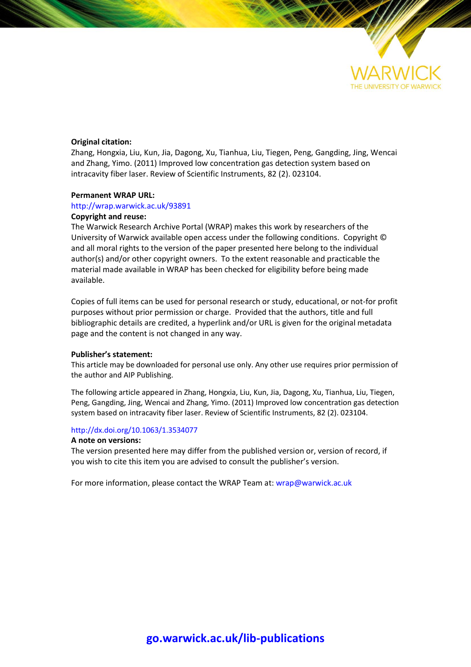

# **Original citation:**

Zhang, Hongxia, Liu, Kun, Jia, Dagong, Xu, Tianhua, Liu, Tiegen, Peng, Gangding, Jing, Wencai and Zhang, Yimo. (2011) Improved low concentration gas detection system based on intracavity fiber laser. Review of Scientific Instruments, 82 (2). 023104.

### **Permanent WRAP URL:**

# <http://wrap.warwick.ac.uk/93891>

# **Copyright and reuse:**

The Warwick Research Archive Portal (WRAP) makes this work by researchers of the University of Warwick available open access under the following conditions. Copyright © and all moral rights to the version of the paper presented here belong to the individual author(s) and/or other copyright owners. To the extent reasonable and practicable the material made available in WRAP has been checked for eligibility before being made available.

Copies of full items can be used for personal research or study, educational, or not-for profit purposes without prior permission or charge. Provided that the authors, title and full bibliographic details are credited, a hyperlink and/or URL is given for the original metadata page and the content is not changed in any way.

#### **Publisher's statement:**

This article may be downloaded for personal use only. Any other use requires prior permission of the author and AIP Publishing.

The following article appeared in Zhang, Hongxia, Liu, Kun, Jia, Dagong, Xu, Tianhua, Liu, Tiegen, Peng, Gangding, Jing, Wencai and Zhang, Yimo. (2011) Improved low concentration gas detection system based on intracavity fiber laser. Review of Scientific Instruments, 82 (2). 023104.

# <http://dx.doi.org/10.1063/1.3534077>

#### **A note on versions:**

The version presented here may differ from the published version or, version of record, if you wish to cite this item you are advised to consult the publisher's version.

For more information, please contact the WRAP Team at[: wrap@warwick.ac.uk](mailto:wrap@warwick.ac.uk)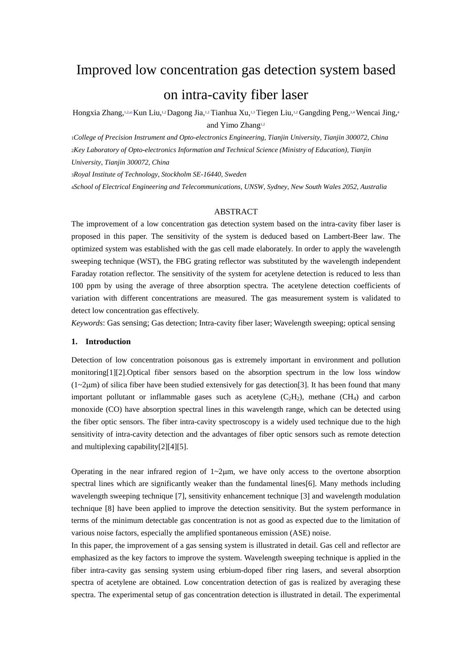# Improved low concentration gas detection system based

# on intra-cavity fiber laser

Hongxia Zhang,<sup>1,2,a)</sup> Kun Liu,<sup>1,2</sup> Dagong Jia,<sup>1,2</sup> Tianhua Xu,<sup>1,3</sup> Tiegen Liu,<sup>1,2</sup> Gangding Peng,<sup>1,4</sup> Wencai Jing,<sup>4</sup> and Yimo Zhang<sup>1,2</sup>

<sup>1</sup>*College of Precision Instrument and Opto-electronics Engineering, Tianjin University, Tianjin 300072, China* <sup>2</sup>*Key Laboratory of Opto-electronics Information and Technical Science (Ministry of Education), Tianjin University, Tianjin 300072, China*

<sup>3</sup>*Royal Institute of Technology, Stockholm SE-16440, Sweden*

<sup>4</sup>*School of Electrical Engineering and Telecommunications, UNSW, Sydney, New South Wales 2052, Australia*

# ABSTRACT

The improvement of a low concentration gas detection system based on the intra-cavity fiber laser is proposed in this paper. The sensitivity of the system is deduced based on Lambert-Beer law. The optimized system was established with the gas cell made elaborately. In order to apply the wavelength sweeping technique (WST), the FBG grating reflector was substituted by the wavelength independent Faraday rotation reflector. The sensitivity of the system for acetylene detection is reduced to less than 100 ppm by using the average of three absorption spectra. The acetylene detection coefficients of variation with different concentrations are measured. The gas measurement system is validated to detect low concentration gas effectively.

*Keywords*: Gas sensing; Gas detection; Intra-cavity fiber laser; Wavelength sweeping; optical sensing

# **1. Introduction**

Detection of low concentration poisonous gas is extremely important in environment and pollution monitoring[1][2].Optical fiber sensors based on the absorption spectrum in the low loss window  $(1-2\mu m)$  of silica fiber have been studied extensively for gas detection[3]. It has been found that many important pollutant or inflammable gases such as acetylene  $(C_2H_2)$ , methane  $(CH_4)$  and carbon monoxide (CO) have absorption spectral lines in this wavelength range, which can be detected using the fiber optic sensors. The fiber intra-cavity spectroscopy is a widely used technique due to the high sensitivity of intra-cavity detection and the advantages of fiber optic sensors such as remote detection and multiplexing capability[2][4][5].

Operating in the near infrared region of  $1 \sim 2 \mu m$ , we have only access to the overtone absorption spectral lines which are significantly weaker than the fundamental lines [6]. Many methods including wavelength sweeping technique [7], sensitivity enhancement technique [3] and wavelength modulation technique [8] have been applied to improve the detection sensitivity. But the system performance in terms of the minimum detectable gas concentration is not as good as expected due to the limitation of various noise factors, especially the amplified spontaneous emission (ASE) noise.

In this paper, the improvement of a gas sensing system is illustrated in detail. Gas cell and reflector are emphasized as the key factors to improve the system. Wavelength sweeping technique is applied in the fiber intra-cavity gas sensing system using erbium-doped fiber ring lasers, and several absorption spectra of acetylene are obtained. Low concentration detection of gas is realized by averaging these spectra. The experimental setup of gas concentration detection is illustrated in detail. The experimental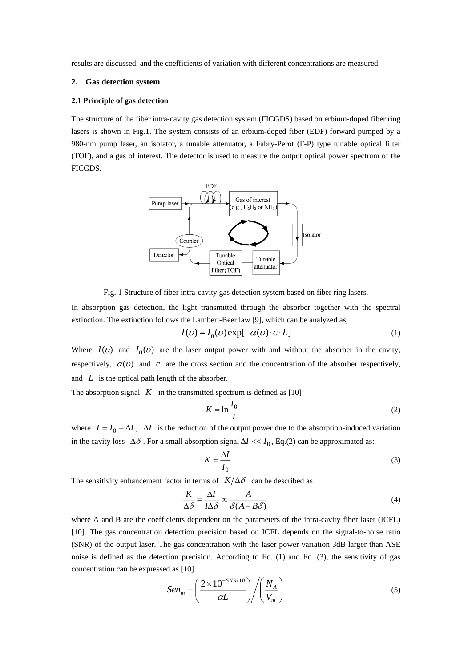results are discussed, and the coefficients of variation with different concentrations are measured.

# **2. Gas detection system**

### **2.1 Principle of gas detection**

The structure of the fiber intra-cavity gas detection system (FICGDS) based on erbium-doped fiber ring lasers is shown in Fig.1. The system consists of an erbium-doped fiber (EDF) forward pumped by a 980-nm pump laser, an isolator, a tunable attenuator, a Fabry-Perot (F-P) type tunable optical filter (TOF), and a gas of interest. The detector is used to measure the output optical power spectrum of the FICGDS.



Fig. 1 Structure of fiber intra-cavity gas detection system based on fiber ring lasers.

In absorption gas detection, the light transmitted through the absorber together with the spectral extinction. The extinction follows the Lambert-Beer law [9], which can be analyzed as,

$$
I(\nu) = I_0(\nu) \exp[-\alpha(\nu) \cdot c \cdot L]
$$
 (1)

Where  $I(v)$  and  $I_0(v)$  are the laser output power with and without the absorber in the cavity, respectively,  $\alpha(v)$  and c are the cross section and the concentration of the absorber respectively, and  $L$  is the optical path length of the absorber.

The absorption signal  $K$  in the transmitted spectrum is defined as [10]

$$
K = \ln \frac{I_0}{I} \tag{2}
$$

where  $I = I_0 - \Delta I$ ,  $\Delta I$  is the reduction of the output power due to the absorption-induced variation in the cavity loss  $\Delta\delta$ . For a small absorption signal  $\Delta I \ll I_0$ , Eq.(2) can be approximated as:

$$
K = \frac{\Delta I}{I_0} \tag{3}
$$

The sensitivity enhancement factor in terms of  $K/\Delta\delta$  can be described as

$$
\frac{K}{\Delta \delta} = \frac{\Delta I}{I \Delta \delta} \propto \frac{A}{\delta (A - B\delta)}\tag{4}
$$

where A and B are the coefficients dependent on the parameters of the intra-cavity fiber laser (ICFL) [10]. The gas concentration detection precision based on ICFL depends on the signal-to-noise ratio (SNR) of the output laser. The gas concentration with the laser power variation 3dB larger than ASE noise is defined as the detection precision. According to Eq. (1) and Eq. (3), the sensitivity of gas concentration can be expressed as [10]

$$
Sen_{in} = \left(\frac{2 \times 10^{-SNR/10}}{\alpha L}\right) \bigg/ \left(\frac{N_A}{V_m}\right) \tag{5}
$$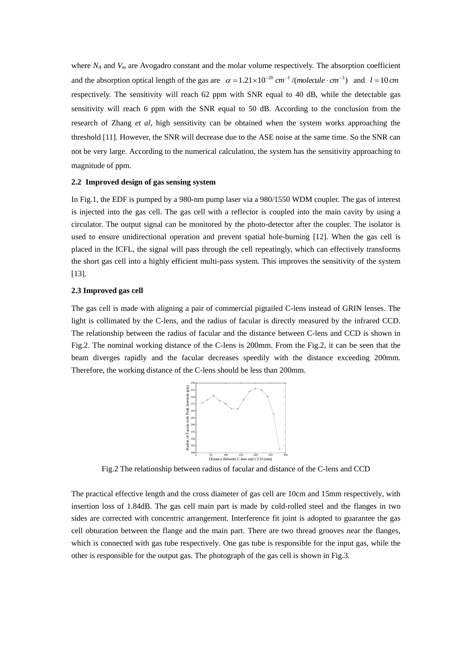where  $N_A$  and  $V_m$  are Avogadro constant and the molar volume respectively. The absorption coefficient and the absorption optical length of the gas are  $\alpha = 1.21 \times 10^{-20}$  cm<sup>-1</sup>/(molecule  $\cdot$  cm<sup>-3</sup>) and  $l = 10$  cm respectively. The sensitivity will reach 62 ppm with SNR equal to 40 dB, while the detectable gas sensitivity will reach 6 ppm with the SNR equal to 50 dB. According to the conclusion from the research of Zhang *et al*, high sensitivity can be obtained when the system works approaching the threshold [11]. However, the SNR will decrease due to the ASE noise at the same time. So the SNR can not be very large. According to the numerical calculation, the system has the sensitivity approaching to magnitude of ppm.

#### **2.2 Improved design of gas sensing system**

In Fig.1, the EDF is pumped by a 980-nm pump laser via a 980/1550 WDM coupler. The gas of interest is injected into the gas cell. The gas cell with a reflector is coupled into the main cavity by using a circulator. The output signal can be monitored by the photo-detector after the coupler. The isolator is used to ensure unidirectional operation and prevent spatial hole-burning [12]. When the gas cell is placed in the ICFL, the signal will pass through the cell repeatingly, which can effectively transforms the short gas cell into a highly efficient multi-pass system. This improves the sensitivity of the system [13].

# **2.3 Improved gas cell**

The gas cell is made with aligning a pair of commercial pigtailed C-lens instead of GRIN lenses. The light is collimated by the C-lens, and the radius of facular is directly measured by the infrared CCD. The relationship between the radius of facular and the distance between C-lens and CCD is shown in Fig.2. The nominal working distance of the C-lens is 200mm. From the Fig.2, it can be seen that the beam diverges rapidly and the facular decreases speedily with the distance exceeding 200mm. Therefore, the working distance of the C-lens should be less than 200mm.



Fig.2 The relationship between radius of facular and distance of the C-lens and CCD

The practical effective length and the cross diameter of gas cell are 10cm and 15mm respectively, with insertion loss of 1.84dB. The gas cell main part is made by cold-rolled steel and the flanges in two sides are corrected with concentric arrangement. Interference fit joint is adopted to guarantee the gas cell [obturation](dict://key.0895DFE8DB67F9409DB285590D870EDD/obturation) between the flange and the main part. There are two thread grooves near the flanges, which is connected with gas tube respectively. One gas tube is responsible for the input gas, while the other is responsible for the output gas. The photograph of the gas cell is shown in Fig.3.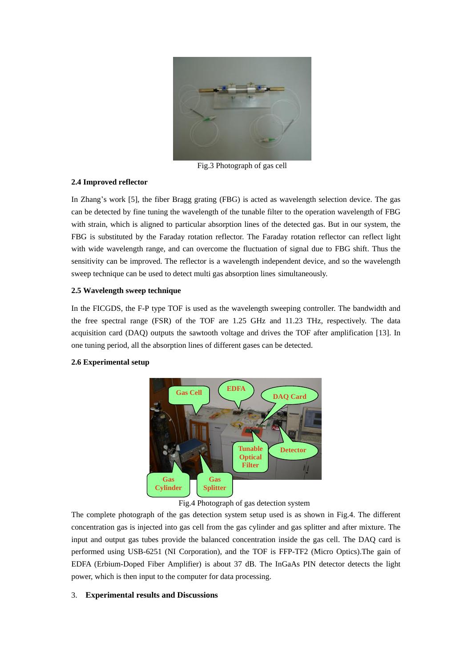

Fig.3 Photograph of gas cell

# **2.4 Improved reflector**

In Zhang's work [5], the fiber Bragg grating (FBG) is acted as wavelength selection device. The gas can be detected by fine tuning the wavelength of the tunable filter to the operation wavelength of FBG with strain, which is aligned to particular absorption lines of the detected gas. But in our system, the FBG is substituted by the Faraday rotation reflector. The Faraday rotation reflector can reflect light with wide wavelength range, and can overcome the fluctuation of signal due to FBG shift. Thus the sensitivity can be improved. The reflector is a wavelength independent device, and so the wavelength sweep technique can be used to detect multi gas absorption lines [simultaneously.](dict://key.0895DFE8DB67F9409DB285590D870EDD/simultaneously)

# **2.5 Wavelength sweep technique**

In the FICGDS, the F-P type TOF is used as the wavelength sweeping controller. The bandwidth and the free spectral range (FSR) of the TOF are 1.25 GHz and 11.23 THz, respectively. The data acquisition card (DAQ) outputs the sawtooth voltage and drives the TOF after amplification [13]. In one tuning period, all the absorption lines of different gases can be detected.



# **2.6 Experimental setup**

Fig.4 Photograph of gas detection system

The complete photograph of the gas detection system setup used is as shown in Fig.4. The different concentration gas is injected into gas cell from the gas cylinder and gas splitter and after mixture. The input and output gas tubes provide the balanced concentration inside the gas cell. The DAQ card is performed using USB-6251 (NI Corporation), and the TOF is FFP-TF2 (Micro Optics).The gain of EDFA (Erbium-Doped Fiber Amplifier) is about 37 dB. The InGaAs PIN detector detects the light power, which is then input to the computer for data processing.

# 3. **Experimental results and Discussions**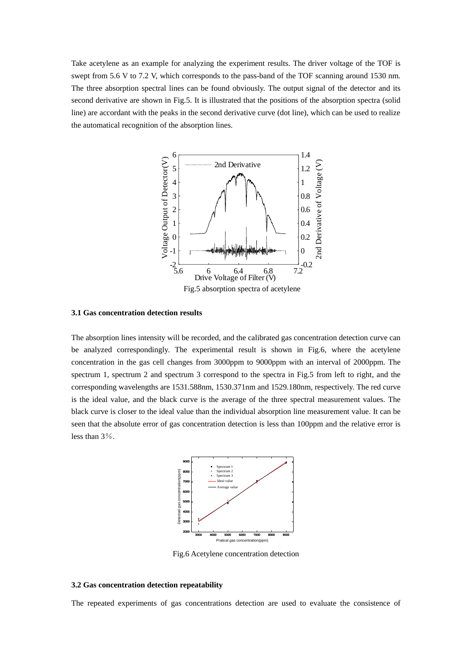Take acetylene as an example for analyzing the experiment results. The driver voltage of the TOF is swept from 5.6 V to 7.2 V, which corresponds to the pass-band of the TOF scanning around 1530 nm. The three absorption spectral lines can be found obviously. The output signal of the detector and its second derivative are shown in Fig.5. It is illustrated that the positions of the absorption spectra (solid line) are accordant with the peaks in the second derivative curve (dot line), which can be used to realize the automatical recognition of the absorption lines.



#### **3.1 Gas concentration detection results**

The absorption lines intensity will be recorded, and the calibrated gas concentration detection curve can be analyzed correspondingly. The experimental result is shown in Fig.6, where the acetylene concentration in the gas cell changes from 3000ppm to 9000ppm with an interval of 2000ppm. The spectrum 1, spectrum 2 and spectrum 3 correspond to the spectra in Fig.5 from left to right, and the corresponding wavelengths are 1531.588nm, 1530.371nm and 1529.180nm, respectively. The red curve is the ideal value, and the black curve is the average of the three spectral measurement values. The black curve is closer to the ideal value than the individual absorption line measurement value. It can be seen that the absolute error of gas concentration detection is less than 100ppm and the relative error is less than 3%.



Fig.6 Acetylene concentration detection

#### **3.2 Gas concentration detection repeatability**

The repeated experiments of gas concentrations detection are used to evaluate the consistence of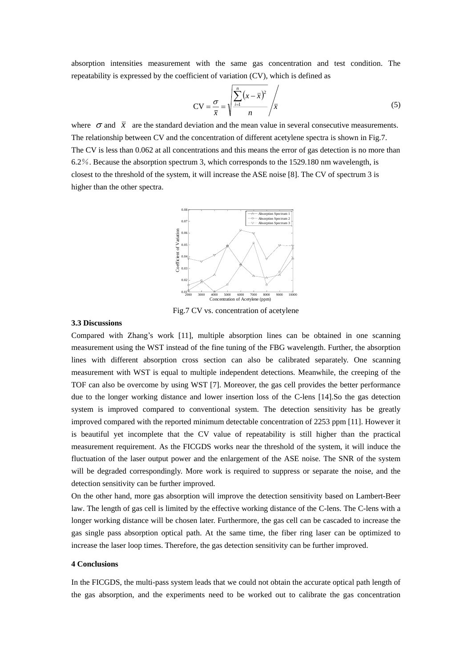absorption intensities measurement with the same gas concentration and test condition. The repeatability is expressed by the coefficient of variation (CV), which is defined as

$$
CV = \frac{\sigma}{\overline{x}} = \sqrt{\frac{\sum_{i=1}^{n} (x - \overline{x})^2}{n}} / \overline{x}
$$
 (5)

where  $\sigma$  and  $\bar{x}$  are the standard deviation and the mean value in several consecutive measurements. The relationship between CV and the concentration of different acetylene spectra is shown in Fig.7. The CV is less than 0.062 at all concentrations and this means the error of gas detection is no more than 6.2%. Because the absorption spectrum 3, which corresponds to the 1529.180 nm wavelength, is closest to the threshold of the system, it will increase the ASE noise [8]. The CV of spectrum 3 is higher than the other spectra.



Fig.7 CV vs. concentration of acetylene

# **3.3 Discussions**

Compared with Zhang's work [11], multiple absorption lines can be obtained in one scanning measurement using the WST instead of the fine tuning of the FBG wavelength. Further, the absorption lines with different absorption cross section can also be calibrated separately. One scanning measurement with WST is equal to multiple independent detections. Meanwhile, the creeping of the TOF can also be overcome by using WST [7]. Moreover, the gas cell provides the better performance due to the longer working distance and lower insertion loss of the C-lens [14].So the gas detection system is improved compared to conventional system. The detection sensitivity has be greatly improved compared with the reported minimum detectable concentration of 2253 ppm [11]. However it is beautiful yet incomplete that the CV value of repeatability is still higher than the practical measurement requirement. As the FICGDS works near the threshold of the system, it will induce the fluctuation of the laser output power and the enlargement of the ASE noise. The SNR of the system will be degraded correspondingly. More work is required to suppress or separate the noise, and the detection sensitivity can be further improved.

On the other hand, more gas absorption will improve the detection sensitivity based on Lambert-Beer law. The length of gas cell is limited by the effective working distance of the C-lens. The C-lens with a longer working distance will be chosen later. Furthermore, the gas cell can be cascaded to increase the gas single pass absorption optical path. At the same time, the fiber ring laser can be optimized to increase the laser loop times. Therefore, the gas detection sensitivity can be further improved.

#### **4 Conclusions**

In the FICGDS, the multi-pass system leads that we could not obtain the accurate optical path length of the gas absorption, and the experiments need to be worked out to calibrate the gas concentration